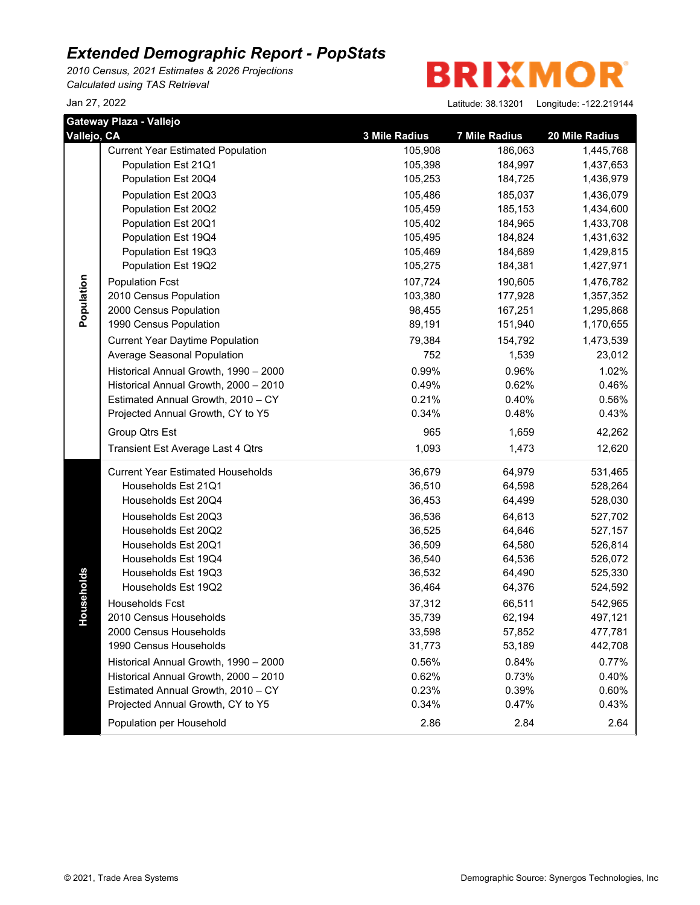*2010 Census, 2021 Estimates & 2026 Projections Calculated using TAS Retrieval*



| Gateway Plaza - Vallejo |                                          |               |                      |                |  |  |
|-------------------------|------------------------------------------|---------------|----------------------|----------------|--|--|
| Vallejo, CA             |                                          | 3 Mile Radius | <b>7 Mile Radius</b> | 20 Mile Radius |  |  |
|                         | <b>Current Year Estimated Population</b> | 105,908       | 186,063              | 1,445,768      |  |  |
|                         | Population Est 21Q1                      | 105,398       | 184,997              | 1,437,653      |  |  |
|                         | Population Est 20Q4                      | 105,253       | 184,725              | 1,436,979      |  |  |
|                         | Population Est 20Q3                      | 105,486       | 185,037              | 1,436,079      |  |  |
|                         | Population Est 20Q2                      | 105,459       | 185,153              | 1,434,600      |  |  |
|                         | Population Est 20Q1                      | 105,402       | 184,965              | 1,433,708      |  |  |
|                         | Population Est 19Q4                      | 105,495       | 184,824              | 1,431,632      |  |  |
|                         | Population Est 19Q3                      | 105,469       | 184,689              | 1,429,815      |  |  |
|                         | Population Est 19Q2                      | 105,275       | 184,381              | 1,427,971      |  |  |
| Population              | <b>Population Fcst</b>                   | 107,724       | 190,605              | 1,476,782      |  |  |
|                         | 2010 Census Population                   | 103,380       | 177,928              | 1,357,352      |  |  |
|                         | 2000 Census Population                   | 98,455        | 167,251              | 1,295,868      |  |  |
|                         | 1990 Census Population                   | 89,191        | 151,940              | 1,170,655      |  |  |
|                         | <b>Current Year Daytime Population</b>   | 79,384        | 154,792              | 1,473,539      |  |  |
|                         | Average Seasonal Population              | 752           | 1,539                | 23,012         |  |  |
|                         | Historical Annual Growth, 1990 - 2000    | 0.99%         | 0.96%                | 1.02%          |  |  |
|                         | Historical Annual Growth, 2000 - 2010    | 0.49%         | 0.62%                | 0.46%          |  |  |
|                         | Estimated Annual Growth, 2010 - CY       | 0.21%         | 0.40%                | 0.56%          |  |  |
|                         | Projected Annual Growth, CY to Y5        | 0.34%         | 0.48%                | 0.43%          |  |  |
|                         | Group Qtrs Est                           | 965           | 1,659                | 42,262         |  |  |
|                         | Transient Est Average Last 4 Qtrs        | 1,093         | 1,473                | 12,620         |  |  |
|                         | <b>Current Year Estimated Households</b> | 36,679        | 64,979               | 531,465        |  |  |
|                         | Households Est 21Q1                      | 36,510        | 64,598               | 528,264        |  |  |
|                         | Households Est 20Q4                      | 36,453        | 64,499               | 528,030        |  |  |
|                         | Households Est 20Q3                      | 36,536        | 64,613               | 527,702        |  |  |
|                         | Households Est 20Q2                      | 36,525        | 64,646               | 527,157        |  |  |
|                         | Households Est 20Q1                      | 36,509        | 64,580               | 526,814        |  |  |
|                         | Households Est 19Q4                      | 36,540        | 64,536               | 526,072        |  |  |
|                         | Households Est 19Q3                      | 36,532        | 64,490               | 525,330        |  |  |
| Households              | Households Est 19Q2                      | 36,464        | 64,376               | 524,592        |  |  |
|                         | Households Fcst                          | 37,312        | 66,511               | 542,965        |  |  |
|                         | 2010 Census Households                   | 35,739        | 62,194               | 497,121        |  |  |
|                         | 2000 Census Households                   | 33,598        | 57,852               | 477,781        |  |  |
|                         | 1990 Census Households                   | 31,773        | 53,189               | 442,708        |  |  |
|                         | Historical Annual Growth, 1990 - 2000    | 0.56%         | 0.84%                | 0.77%          |  |  |
|                         | Historical Annual Growth, 2000 - 2010    | 0.62%         | 0.73%                | 0.40%          |  |  |
|                         | Estimated Annual Growth, 2010 - CY       | 0.23%         | 0.39%                | 0.60%          |  |  |
|                         | Projected Annual Growth, CY to Y5        | 0.34%         | 0.47%                | 0.43%          |  |  |
|                         | Population per Household                 | 2.86          | 2.84                 | 2.64           |  |  |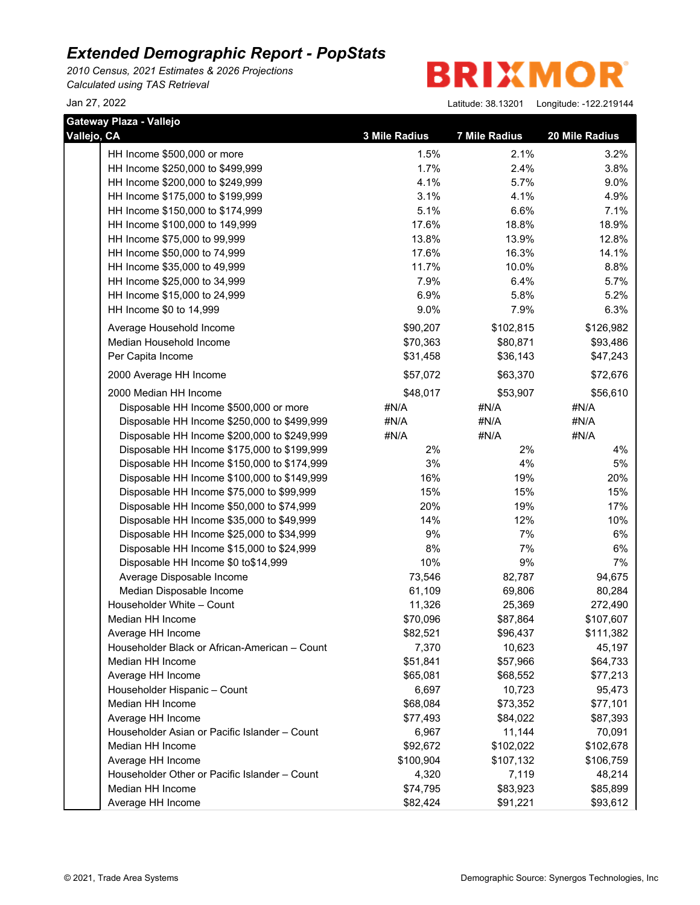*2010 Census, 2021 Estimates & 2026 Projections Calculated using TAS Retrieval*

**BRIXMOR** 

| Gateway Plaza - Vallejo                       |               |                      |                |
|-----------------------------------------------|---------------|----------------------|----------------|
| Vallejo, CA                                   | 3 Mile Radius | <b>7 Mile Radius</b> | 20 Mile Radius |
| HH Income \$500,000 or more                   | 1.5%          | 2.1%                 | 3.2%           |
| HH Income \$250,000 to \$499,999              | 1.7%          | 2.4%                 | 3.8%           |
| HH Income \$200,000 to \$249,999              | 4.1%          | 5.7%                 | 9.0%           |
| HH Income \$175,000 to \$199,999              | 3.1%          | 4.1%                 | 4.9%           |
| HH Income \$150,000 to \$174,999              | 5.1%          | 6.6%                 | 7.1%           |
| HH Income \$100,000 to 149,999                | 17.6%         | 18.8%                | 18.9%          |
| HH Income \$75,000 to 99,999                  | 13.8%         | 13.9%                | 12.8%          |
| HH Income \$50,000 to 74,999                  | 17.6%         | 16.3%                | 14.1%          |
| HH Income \$35,000 to 49,999                  | 11.7%         | 10.0%                | 8.8%           |
| HH Income \$25,000 to 34,999                  | 7.9%          | 6.4%                 | 5.7%           |
| HH Income \$15,000 to 24,999                  | 6.9%          | 5.8%                 | 5.2%           |
| HH Income \$0 to 14,999                       | 9.0%          | 7.9%                 | 6.3%           |
| Average Household Income                      | \$90,207      | \$102,815            | \$126,982      |
| Median Household Income                       | \$70,363      | \$80,871             | \$93,486       |
| Per Capita Income                             | \$31,458      | \$36,143             | \$47,243       |
| 2000 Average HH Income                        | \$57,072      | \$63,370             | \$72,676       |
| 2000 Median HH Income                         | \$48,017      | \$53,907             | \$56,610       |
| Disposable HH Income \$500,000 or more        | #N/A          | #N/A                 | #N/A           |
| Disposable HH Income \$250,000 to \$499,999   | #N/A          | #N/A                 | #N/A           |
| Disposable HH Income \$200,000 to \$249,999   | #N/A          | #N/A                 | #N/A           |
| Disposable HH Income \$175,000 to \$199,999   | 2%            | 2%                   | 4%             |
| Disposable HH Income \$150,000 to \$174,999   | 3%            | 4%                   | 5%             |
| Disposable HH Income \$100,000 to \$149,999   | 16%           | 19%                  | 20%            |
| Disposable HH Income \$75,000 to \$99,999     | 15%           | 15%                  | 15%            |
| Disposable HH Income \$50,000 to \$74,999     | 20%           | 19%                  | 17%            |
| Disposable HH Income \$35,000 to \$49,999     | 14%           | 12%                  | 10%            |
| Disposable HH Income \$25,000 to \$34,999     | 9%            | 7%                   | 6%             |
| Disposable HH Income \$15,000 to \$24,999     | 8%            | 7%                   | 6%             |
| Disposable HH Income \$0 to\$14,999           | 10%           | 9%                   | 7%             |
| Average Disposable Income                     | 73,546        | 82,787               | 94,675         |
| Median Disposable Income                      | 61,109        | 69,806               | 80,284         |
| Householder White - Count                     | 11,326        | 25,369               | 272,490        |
| Median HH Income                              | \$70,096      | \$87,864             | \$107,607      |
| Average HH Income                             | \$82,521      | \$96,437             | \$111,382      |
| Householder Black or African-American - Count | 7,370         | 10,623               | 45,197         |
| Median HH Income                              | \$51,841      | \$57,966             | \$64,733       |
| Average HH Income                             | \$65,081      | \$68,552             | \$77,213       |
| Householder Hispanic - Count                  | 6,697         | 10,723               | 95,473         |
| Median HH Income                              | \$68,084      | \$73,352             | \$77,101       |
| Average HH Income                             | \$77,493      | \$84,022             | \$87,393       |
| Householder Asian or Pacific Islander - Count | 6,967         | 11,144               | 70,091         |
| Median HH Income                              | \$92,672      | \$102,022            | \$102,678      |
| Average HH Income                             | \$100,904     | \$107,132            | \$106,759      |
| Householder Other or Pacific Islander - Count | 4,320         | 7,119                | 48,214         |
| Median HH Income                              | \$74,795      | \$83,923             | \$85,899       |
| Average HH Income                             | \$82,424      | \$91,221             | \$93,612       |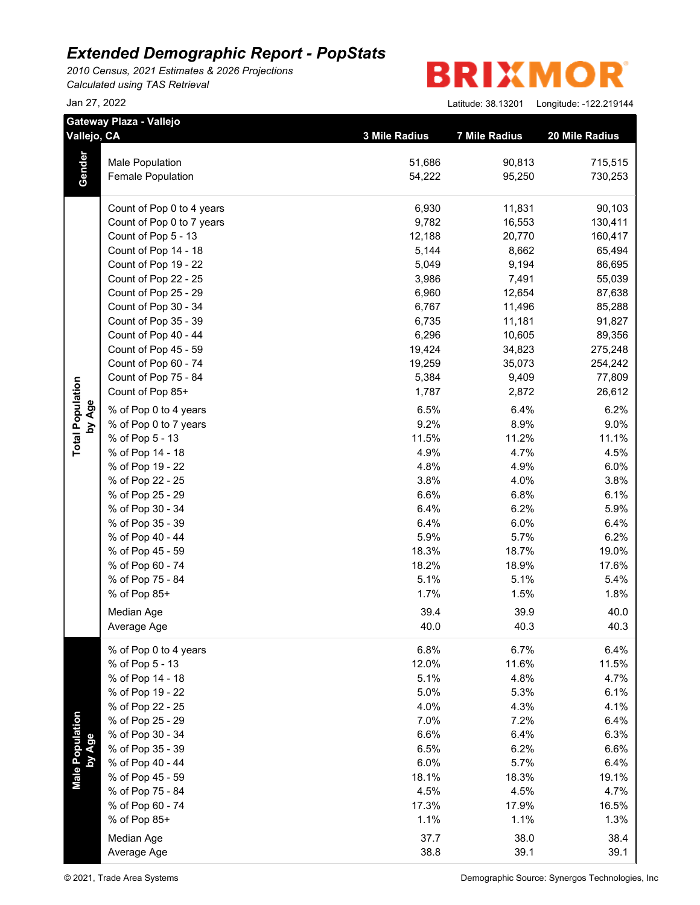*2010 Census, 2021 Estimates & 2026 Projections Calculated using TAS Retrieval*

**BRIXMO** R

|                           | Gateway Plaza - Vallejo<br>Vallejo, CA | 3 Mile Radius | <b>7 Mile Radius</b> | 20 Mile Radius |
|---------------------------|----------------------------------------|---------------|----------------------|----------------|
|                           |                                        |               |                      |                |
| Gender                    | Male Population                        | 51,686        | 90,813               | 715,515        |
|                           | Female Population                      | 54,222        | 95,250               | 730,253        |
|                           | Count of Pop 0 to 4 years              | 6,930         | 11,831               | 90,103         |
|                           | Count of Pop 0 to 7 years              | 9,782         | 16,553               | 130,411        |
|                           | Count of Pop 5 - 13                    | 12,188        | 20,770               | 160,417        |
|                           | Count of Pop 14 - 18                   | 5,144         | 8,662                | 65,494         |
|                           | Count of Pop 19 - 22                   | 5,049         | 9,194                | 86,695         |
|                           | Count of Pop 22 - 25                   | 3,986         | 7,491                | 55,039         |
|                           | Count of Pop 25 - 29                   | 6,960         | 12,654               | 87,638         |
|                           | Count of Pop 30 - 34                   | 6,767         | 11,496               | 85,288         |
|                           | Count of Pop 35 - 39                   | 6,735         | 11,181               | 91,827         |
|                           | Count of Pop 40 - 44                   | 6,296         | 10,605               | 89,356         |
|                           | Count of Pop 45 - 59                   | 19,424        | 34,823               | 275,248        |
|                           | Count of Pop 60 - 74                   | 19,259        | 35,073               | 254,242        |
|                           | Count of Pop 75 - 84                   | 5,384         | 9,409                | 77,809         |
|                           | Count of Pop 85+                       | 1,787         | 2,872                | 26,612         |
|                           | % of Pop 0 to 4 years                  | 6.5%          | 6.4%                 | 6.2%           |
| by Age                    | % of Pop 0 to 7 years                  | 9.2%          | 8.9%                 | 9.0%           |
|                           | % of Pop 5 - 13                        | 11.5%         | 11.2%                | 11.1%          |
|                           | % of Pop 14 - 18                       | 4.9%          | 4.7%                 | 4.5%           |
|                           | % of Pop 19 - 22                       | 4.8%          | 4.9%                 | 6.0%           |
|                           | % of Pop 22 - 25                       | 3.8%          | 4.0%                 | 3.8%           |
|                           | % of Pop 25 - 29                       | 6.6%          | 6.8%                 | 6.1%           |
|                           | % of Pop 30 - 34                       | 6.4%          | 6.2%                 | 5.9%           |
|                           | % of Pop 35 - 39                       | 6.4%          | 6.0%                 | 6.4%           |
|                           | % of Pop 40 - 44                       | 5.9%          | 5.7%                 | 6.2%           |
|                           | % of Pop 45 - 59                       | 18.3%         | 18.7%                | 19.0%          |
|                           | % of Pop 60 - 74                       | 18.2%         | 18.9%                | 17.6%          |
|                           | % of Pop 75 - 84                       | 5.1%          | 5.1%                 | 5.4%           |
|                           | % of Pop 85+                           | 1.7%          | 1.5%                 | 1.8%           |
|                           | Median Age                             | 39.4          | 39.9                 | 40.0           |
|                           | Average Age                            | 40.0          | 40.3                 | 40.3           |
|                           | % of Pop 0 to 4 years                  | 6.8%          | 6.7%                 | 6.4%           |
|                           | % of Pop 5 - 13                        | 12.0%         | 11.6%                | 11.5%          |
|                           | % of Pop 14 - 18                       | 5.1%          | 4.8%                 | 4.7%           |
|                           | % of Pop 19 - 22                       | 5.0%          | 5.3%                 | 6.1%           |
|                           | % of Pop 22 - 25                       | 4.0%          | 4.3%                 | 4.1%           |
|                           | % of Pop 25 - 29                       | 7.0%          | 7.2%                 | 6.4%           |
|                           | % of Pop 30 - 34                       | 6.6%          | 6.4%                 | 6.3%           |
|                           | % of Pop 35 - 39                       | 6.5%          | 6.2%                 | 6.6%           |
|                           | % of Pop 40 - 44                       | 6.0%          | 5.7%                 | 6.4%           |
| Male Population<br>by Age | % of Pop 45 - 59                       | 18.1%         | 18.3%                | 19.1%          |
|                           | % of Pop 75 - 84                       | 4.5%          | 4.5%                 | 4.7%           |
|                           | % of Pop 60 - 74                       | 17.3%         | 17.9%                | 16.5%          |
|                           | % of Pop 85+                           | 1.1%          | 1.1%                 | 1.3%           |
|                           | Median Age                             | 37.7          | 38.0                 | 38.4           |
|                           | Average Age                            | 38.8          | 39.1                 | 39.1           |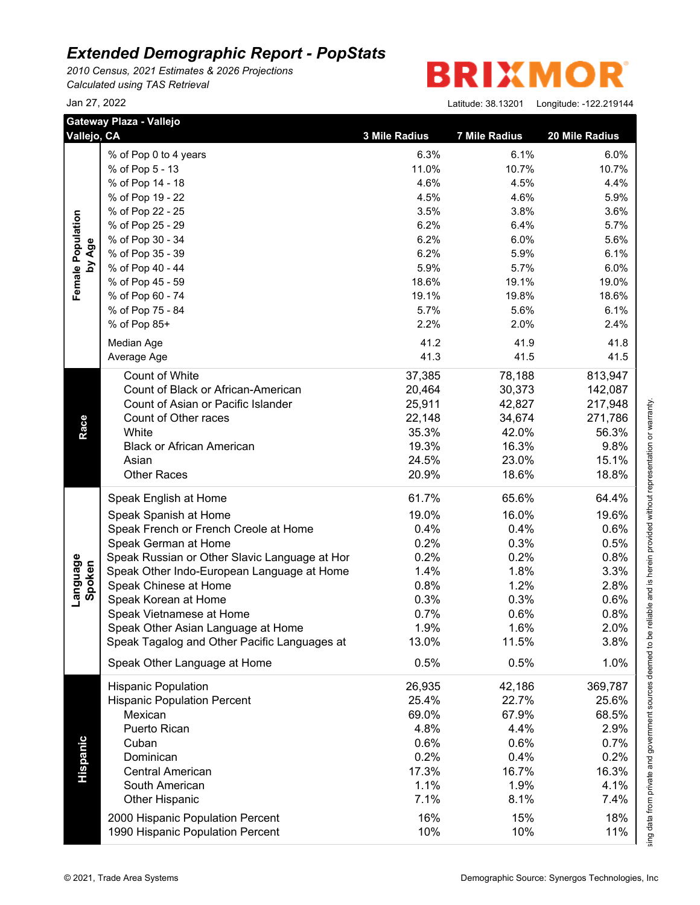*2010 Census, 2021 Estimates & 2026 Projections Calculated using TAS Retrieval*

| Vallejo, CA                 | Gateway Plaza - Vallejo                                              | 3 Mile Radius | <b>7 Mile Radius</b> | 20 Mile Radius |
|-----------------------------|----------------------------------------------------------------------|---------------|----------------------|----------------|
|                             | % of Pop 0 to 4 years                                                | 6.3%          | 6.1%                 | 6.0%           |
|                             | % of Pop 5 - 13                                                      | 11.0%         | 10.7%                | 10.7%          |
|                             | % of Pop 14 - 18                                                     | 4.6%          | 4.5%                 | 4.4%           |
|                             | % of Pop 19 - 22                                                     | 4.5%          | 4.6%                 | 5.9%           |
|                             | % of Pop 22 - 25                                                     | 3.5%          | 3.8%                 | 3.6%           |
|                             | % of Pop 25 - 29                                                     | 6.2%          | 6.4%                 | 5.7%           |
|                             | % of Pop 30 - 34                                                     | 6.2%          | 6.0%                 | 5.6%           |
|                             | % of Pop 35 - 39                                                     | 6.2%          | 5.9%                 | 6.1%           |
| Female Population<br>by Age | % of Pop 40 - 44                                                     | 5.9%          | 5.7%                 | 6.0%           |
|                             | % of Pop 45 - 59                                                     | 18.6%         | 19.1%                | 19.0%          |
|                             | % of Pop 60 - 74                                                     | 19.1%         | 19.8%                | 18.6%          |
|                             | % of Pop 75 - 84                                                     | 5.7%          | 5.6%                 | 6.1%           |
|                             | % of Pop 85+                                                         | 2.2%          | 2.0%                 | 2.4%           |
|                             | Median Age                                                           | 41.2          | 41.9                 | 41.8           |
|                             | Average Age                                                          | 41.3          | 41.5                 | 41.5           |
|                             |                                                                      |               |                      |                |
|                             | Count of White                                                       | 37,385        | 78,188               | 813,947        |
|                             | Count of Black or African-American                                   | 20,464        | 30,373               | 142,087        |
|                             | Count of Asian or Pacific Islander                                   | 25,911        | 42,827               | 217,948        |
|                             | Count of Other races                                                 | 22,148        | 34,674               | 271,786        |
|                             | White                                                                | 35.3%         | 42.0%                | 56.3%          |
|                             | <b>Black or African American</b>                                     | 19.3%         | 16.3%                | 9.8%           |
|                             | Asian                                                                | 24.5%         | 23.0%                | 15.1%          |
|                             | <b>Other Races</b>                                                   | 20.9%         | 18.6%                | 18.8%          |
|                             | Speak English at Home                                                | 61.7%         | 65.6%                | 64.4%          |
|                             | Speak Spanish at Home                                                | 19.0%         | 16.0%                | 19.6%          |
|                             | Speak French or French Creole at Home                                | 0.4%          | 0.4%                 | 0.6%           |
|                             | Speak German at Home                                                 | 0.2%          | 0.3%                 | 0.5%           |
|                             | Speak Russian or Other Slavic Language at Hor                        | 0.2%          | 0.2%                 | 0.8%           |
| Language<br>Spoken          | Speak Other Indo-European Language at Home                           | 1.4%          | 1.8%                 | 3.3%           |
|                             | Speak Chinese at Home                                                | 0.8%          | 1.2%                 | 2.8%           |
|                             | Speak Korean at Home                                                 | 0.3%          | 0.3%                 | 0.6%           |
|                             | Speak Vietnamese at Home                                             | 0.7%          | 0.6%                 | 0.8%           |
|                             | Speak Other Asian Language at Home                                   | 1.9%          | $1.6\%$              | 2.0%           |
|                             | Speak Tagalog and Other Pacific Languages at                         | 13.0%         | 11.5%                | 3.8%           |
|                             | Speak Other Language at Home                                         | 0.5%          | 0.5%                 | 1.0%           |
|                             | <b>Hispanic Population</b>                                           | 26,935        | 42,186               | 369,787        |
|                             | <b>Hispanic Population Percent</b>                                   | 25.4%         | 22.7%                | 25.6%          |
|                             | Mexican                                                              | 69.0%         | 67.9%                | 68.5%          |
|                             | Puerto Rican                                                         | 4.8%          | 4.4%                 | 2.9%           |
|                             | Cuban                                                                | 0.6%          | 0.6%                 | 0.7%           |
|                             | Dominican                                                            | 0.2%          | 0.4%                 | 0.2%           |
| Hispanic                    | <b>Central American</b>                                              | 17.3%         | 16.7%                | 16.3%          |
|                             | South American                                                       | 1.1%          | 1.9%                 | 4.1%           |
|                             | <b>Other Hispanic</b>                                                | 7.1%          | 8.1%                 | 7.4%           |
|                             |                                                                      |               |                      |                |
|                             | 2000 Hispanic Population Percent<br>1990 Hispanic Population Percent | 16%           | 15%                  | 18%            |
|                             |                                                                      | 10%           | 10%                  | 11%            |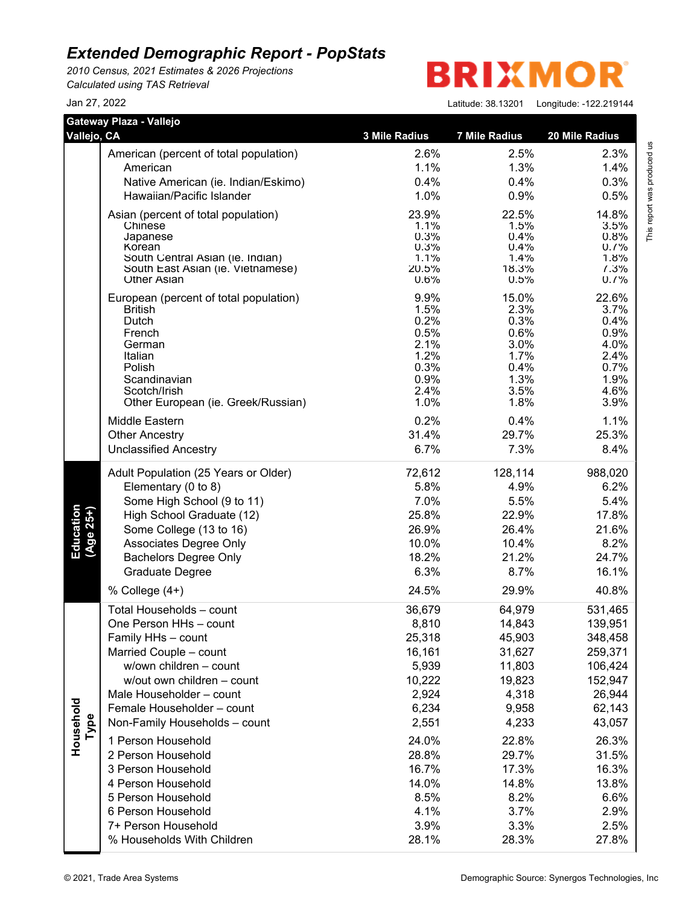*2010 Census, 2021 Estimates & 2026 Projections Calculated using TAS Retrieval*

### **BRIXMO** R

Jan 27, 2022 Latitude: 38.13201 Longitude: -122.219144

This report was produced us<br>T

This report was produced us

|                        | Gateway Plaza - Vallejo                    |                      |                      |                |
|------------------------|--------------------------------------------|----------------------|----------------------|----------------|
| Vallejo, CA            |                                            | <b>3 Mile Radius</b> | <b>7 Mile Radius</b> | 20 Mile Radius |
|                        | American (percent of total population)     | 2.6%                 | 2.5%                 | 2.3%           |
|                        | American                                   | 1.1%                 | 1.3%                 | 1.4%           |
|                        | Native American (ie. Indian/Eskimo)        | 0.4%                 | 0.4%                 | 0.3%           |
|                        | Hawaiian/Pacific Islander                  | 1.0%                 | 0.9%                 | 0.5%           |
|                        | Asian (percent of total population)        | 23.9%                | 22.5%                | 14.8%          |
|                        | Chinese                                    | 1.1%                 | 1.5%                 | 3.5%           |
|                        | Japanese                                   | 0.3%                 | 0.4%                 | 0.8%           |
|                        | Korean<br>South Central Asian (ie. Indian) | 0.3%<br>1.1%         | 0.4%<br>1.4%         | 0.7%<br>1.8%   |
|                        | South East Asian (ie. Vietnamese)          | 20.5%                | 18.3%                | 7.3%           |
|                        | <b>Other Asian</b>                         | 0.6%                 | 0.5%                 | 0.7%           |
|                        | European (percent of total population)     | 9.9%                 | 15.0%                | 22.6%          |
|                        | <b>British</b>                             | 1.5%                 | 2.3%                 | 3.7%           |
|                        | Dutch                                      | 0.2%                 | 0.3%                 | 0.4%           |
|                        | French<br>German                           | 0.5%<br>2.1%         | 0.6%<br>3.0%         | 0.9%<br>4.0%   |
|                        | Italian                                    | 1.2%                 | 1.7%                 | 2.4%           |
|                        | Polish                                     | 0.3%                 | 0.4%                 | 0.7%           |
|                        | Scandinavian                               | 0.9%                 | 1.3%                 | 1.9%           |
|                        | Scotch/Irish                               | 2.4%                 | 3.5%                 | 4.6%           |
|                        | Other European (ie. Greek/Russian)         | 1.0%                 | 1.8%                 | 3.9%           |
|                        | Middle Eastern                             | 0.2%                 | 0.4%                 | 1.1%           |
|                        | <b>Other Ancestry</b>                      | 31.4%                | 29.7%                | 25.3%          |
|                        | <b>Unclassified Ancestry</b>               | 6.7%                 | 7.3%                 | 8.4%           |
|                        | Adult Population (25 Years or Older)       | 72,612               | 128,114              | 988,020        |
|                        | Elementary (0 to 8)                        | 5.8%                 | 4.9%                 | 6.2%           |
|                        | Some High School (9 to 11)                 | 7.0%                 | 5.5%                 | 5.4%           |
| Education<br>(Age 25+) | High School Graduate (12)                  | 25.8%                | 22.9%                | 17.8%          |
|                        | Some College (13 to 16)                    | 26.9%                | 26.4%                | 21.6%          |
|                        | Associates Degree Only                     | 10.0%                | 10.4%                | 8.2%           |
|                        | <b>Bachelors Degree Only</b>               | 18.2%                | 21.2%                | 24.7%          |
|                        | Graduate Degree                            | 6.3%                 | 8.7%                 | 16.1%          |
|                        | % College (4+)                             | 24.5%                | 29.9%                | 40.8%          |
|                        | Total Households - count                   | 36,679               | 64,979               | 531,465        |
|                        | One Person HHs - count                     | 8,810                | 14,843               | 139,951        |
|                        | Family HHs - count                         | 25,318               | 45,903               | 348,458        |
|                        | Married Couple - count                     | 16,161               | 31,627               | 259,371        |
|                        | w/own children - count                     | 5,939                | 11,803               | 106,424        |
|                        | w/out own children - count                 | 10,222               | 19,823               | 152,947        |
|                        | Male Householder - count                   | 2,924                | 4,318                | 26,944         |
|                        | Female Householder - count                 | 6,234                | 9,958                | 62,143         |
| Household<br>Type      | Non-Family Households - count              | 2,551                | 4,233                | 43,057         |
|                        | 1 Person Household                         | 24.0%                | 22.8%                | 26.3%          |
|                        | 2 Person Household                         | 28.8%                | 29.7%                | 31.5%          |
|                        |                                            |                      |                      |                |
|                        | 3 Person Household                         | 16.7%                | 17.3%                | 16.3%          |
|                        | 4 Person Household                         | 14.0%                | 14.8%                | 13.8%          |
|                        | 5 Person Household                         | 8.5%                 | 8.2%                 | 6.6%           |
|                        | 6 Person Household                         | 4.1%                 | 3.7%                 | 2.9%           |
|                        | 7+ Person Household                        | 3.9%                 | 3.3%                 | 2.5%           |
|                        | % Households With Children                 | 28.1%                | 28.3%                | 27.8%          |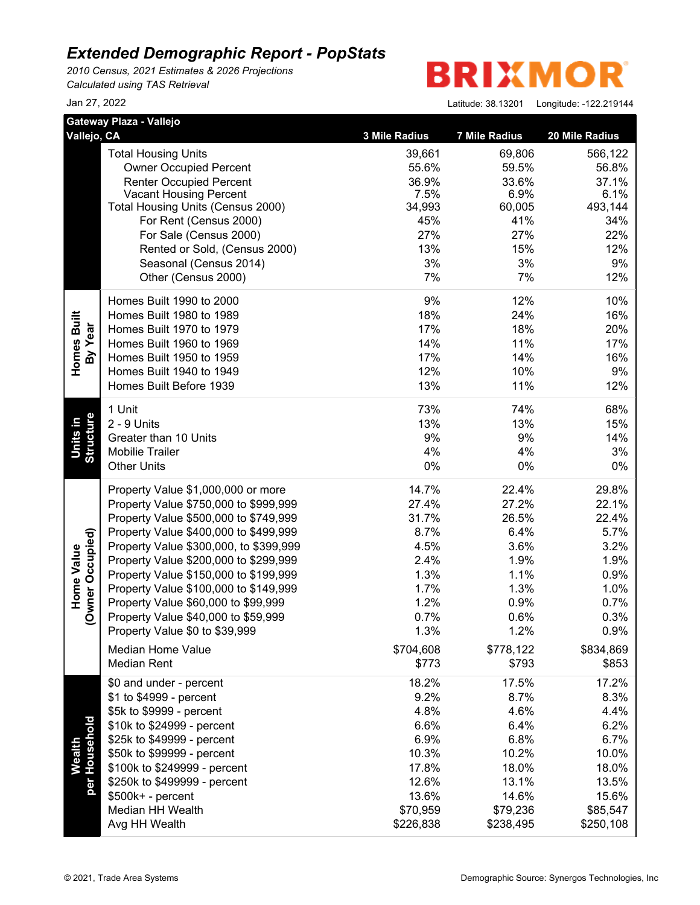*2010 Census, 2021 Estimates & 2026 Projections Calculated using TAS Retrieval*

**BRIXMOR** 

Jan 27, 2022 Latitude: 38.13201

|                                       | Gateway Plaza - Vallejo                                                      |                    |                      |                |
|---------------------------------------|------------------------------------------------------------------------------|--------------------|----------------------|----------------|
| Vallejo, CA                           |                                                                              | 3 Mile Radius      | <b>7 Mile Radius</b> | 20 Mile Radius |
|                                       | <b>Total Housing Units</b>                                                   | 39,661             | 69,806               | 566,122        |
|                                       | <b>Owner Occupied Percent</b>                                                | 55.6%              | 59.5%                | 56.8%          |
|                                       | <b>Renter Occupied Percent</b><br><b>Vacant Housing Percent</b>              | 36.9%<br>7.5%      | 33.6%<br>6.9%        | 37.1%<br>6.1%  |
|                                       | Total Housing Units (Census 2000)                                            | 34,993             | 60,005               | 493,144        |
|                                       | For Rent (Census 2000)                                                       | 45%                | 41%                  | 34%            |
|                                       | For Sale (Census 2000)                                                       | 27%                | 27%                  | 22%            |
|                                       | Rented or Sold, (Census 2000)                                                | 13%                | 15%                  | 12%            |
|                                       | Seasonal (Census 2014)                                                       | 3%                 | 3%                   | 9%             |
|                                       | Other (Census 2000)                                                          | 7%                 | 7%                   | 12%            |
|                                       | Homes Built 1990 to 2000                                                     | 9%                 | 12%                  | 10%            |
|                                       | Homes Built 1980 to 1989                                                     | 18%                | 24%                  | 16%            |
| Homes Built<br>By Year                | Homes Built 1970 to 1979                                                     | 17%                | 18%                  | 20%            |
|                                       | Homes Built 1960 to 1969                                                     | 14%                | 11%                  | 17%            |
|                                       | Homes Built 1950 to 1959                                                     | 17%                | 14%                  | 16%            |
|                                       | Homes Built 1940 to 1949                                                     | 12%                | 10%                  | 9%             |
|                                       | Homes Built Before 1939                                                      | 13%                | 11%                  | 12%            |
|                                       | 1 Unit                                                                       | 73%                | 74%                  | 68%            |
| Units in                              | 2 - 9 Units                                                                  | 13%                | 13%                  | 15%            |
|                                       | Greater than 10 Units                                                        | 9%                 | 9%                   | 14%            |
| <b>Structure</b>                      | <b>Mobilie Trailer</b>                                                       | 4%                 | 4%                   | 3%             |
|                                       | <b>Other Units</b>                                                           | 0%                 | $0\%$                | 0%             |
|                                       | Property Value \$1,000,000 or more                                           | 14.7%              | 22.4%                | 29.8%          |
|                                       | Property Value \$750,000 to \$999,999                                        | 27.4%              | 27.2%                | 22.1%          |
|                                       | Property Value \$500,000 to \$749,999                                        | 31.7%              | 26.5%                | 22.4%          |
|                                       | Property Value \$400,000 to \$499,999                                        | 8.7%               | 6.4%                 | 5.7%           |
|                                       | Property Value \$300,000, to \$399,999                                       | 4.5%               | 3.6%                 | 3.2%           |
|                                       | Property Value \$200,000 to \$299,999                                        | 2.4%               | 1.9%                 | 1.9%           |
| (Owner Occupied)<br><b>Home Value</b> | Property Value \$150,000 to \$199,999                                        | 1.3%<br>1.7%       | 1.1%<br>1.3%         | 0.9%           |
|                                       | Property Value \$100,000 to \$149,999<br>Property Value \$60,000 to \$99,999 | 1.2%               | 0.9%                 | 1.0%           |
|                                       | Property Value \$40,000 to \$59,999                                          | 0.7%               | 0.6%                 | 0.7%<br>0.3%   |
|                                       | Property Value \$0 to \$39,999                                               | 1.3%               | 1.2%                 | 0.9%           |
|                                       |                                                                              |                    |                      |                |
|                                       | <b>Median Home Value</b><br><b>Median Rent</b>                               | \$704,608<br>\$773 | \$778,122            | \$834,869      |
|                                       | \$0 and under - percent                                                      | 18.2%              | \$793<br>17.5%       | \$853<br>17.2% |
|                                       | \$1 to \$4999 - percent                                                      | 9.2%               | 8.7%                 | 8.3%           |
|                                       | \$5k to \$9999 - percent                                                     | 4.8%               | 4.6%                 | 4.4%           |
|                                       | \$10k to \$24999 - percent                                                   | 6.6%               | 6.4%                 | 6.2%           |
|                                       | \$25k to \$49999 - percent                                                   | 6.9%               | 6.8%                 | 6.7%           |
|                                       | \$50k to \$99999 - percent                                                   | 10.3%              | 10.2%                | 10.0%          |
| <b>Wealth</b>                         | \$100k to \$249999 - percent                                                 | 17.8%              | 18.0%                | 18.0%          |
| per Household                         | \$250k to \$499999 - percent                                                 | 12.6%              | 13.1%                | 13.5%          |
|                                       | \$500k+ - percent                                                            | 13.6%              | 14.6%                | 15.6%          |
|                                       | Median HH Wealth                                                             | \$70,959           | \$79,236             | \$85,547       |
|                                       | Avg HH Wealth                                                                | \$226,838          | \$238,495            | \$250,108      |
|                                       |                                                                              |                    |                      |                |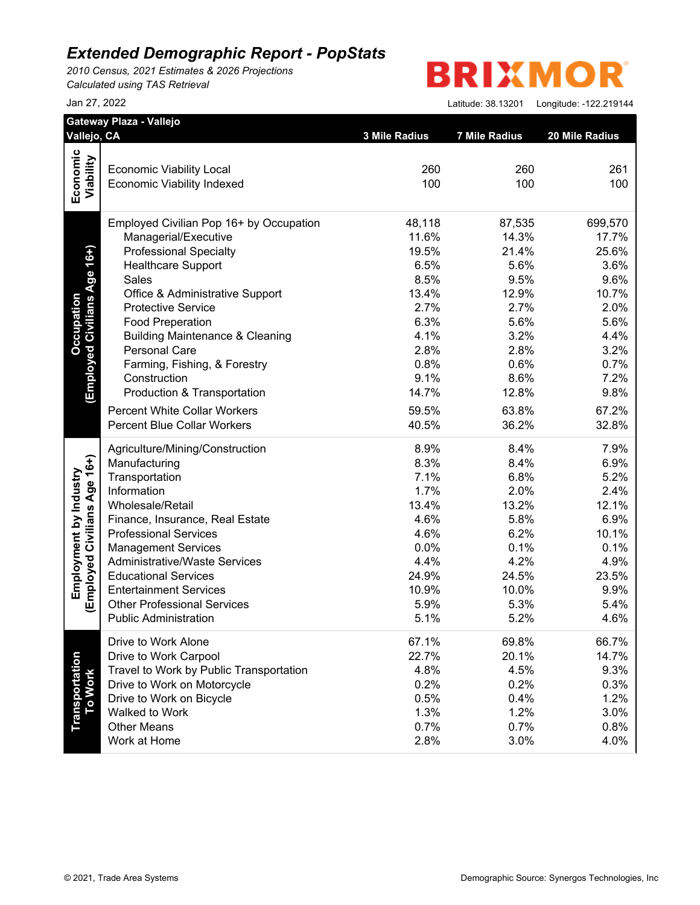*2010 Census, 2021 Estimates & 2026 Projections Calculated using TAS Retrieval*

**BRIXMOR** 

| Vallejo, CA                  |                                            |               |                      |                |
|------------------------------|--------------------------------------------|---------------|----------------------|----------------|
|                              |                                            | 3 Mile Radius | <b>7 Mile Radius</b> | 20 Mile Radius |
| Economic                     |                                            |               |                      |                |
|                              | <b>Economic Viability Local</b>            | 260           | 260                  | 261            |
| Viability                    | <b>Economic Viability Indexed</b>          | 100           | 100                  | 100            |
|                              | Employed Civilian Pop 16+ by Occupation    | 48,118        | 87,535               | 699,570        |
|                              | Managerial/Executive                       | 11.6%         | 14.3%                | 17.7%          |
| (Employed Civilians Age 16+) | <b>Professional Specialty</b>              | 19.5%         | 21.4%                | 25.6%          |
|                              | <b>Healthcare Support</b>                  | 6.5%          | 5.6%                 | 3.6%           |
|                              | Sales                                      | 8.5%          | 9.5%                 | 9.6%           |
|                              | Office & Administrative Support            | 13.4%         | 12.9%                | 10.7%          |
|                              | <b>Protective Service</b>                  | 2.7%          | 2.7%                 | 2.0%           |
|                              | <b>Food Preperation</b>                    | 6.3%          | 5.6%                 | 5.6%           |
|                              | <b>Building Maintenance &amp; Cleaning</b> | 4.1%          | 3.2%                 | 4.4%           |
|                              | <b>Personal Care</b>                       | 2.8%          | 2.8%                 | 3.2%           |
|                              | Farming, Fishing, & Forestry               | 0.8%          | 0.6%                 | 0.7%           |
|                              | Construction                               | 9.1%          | 8.6%                 | 7.2%           |
|                              | Production & Transportation                | 14.7%         | 12.8%                | 9.8%           |
|                              | <b>Percent White Collar Workers</b>        | 59.5%         | 63.8%                | 67.2%          |
|                              | <b>Percent Blue Collar Workers</b>         | 40.5%         | 36.2%                | 32.8%          |
|                              | Agriculture/Mining/Construction            | 8.9%          | 8.4%                 | 7.9%           |
|                              | Manufacturing                              | 8.3%          | 8.4%                 | 6.9%           |
|                              | Transportation                             | 7.1%          | 6.8%                 | 5.2%           |
|                              | Information                                | 1.7%          | 2.0%                 | 2.4%           |
|                              | Wholesale/Retail                           | 13.4%         | 13.2%                | 12.1%          |
|                              | Finance, Insurance, Real Estate            | 4.6%          | 5.8%                 | 6.9%           |
|                              | <b>Professional Services</b>               | 4.6%          | 6.2%                 | 10.1%          |
|                              | <b>Management Services</b>                 | 0.0%          | 0.1%                 | 0.1%           |
| (Employed Civilians Age 16+) | <b>Administrative/Waste Services</b>       | 4.4%          | 4.2%                 | 4.9%           |
|                              | <b>Educational Services</b>                | 24.9%         | 24.5%                | 23.5%          |
|                              | <b>Entertainment Services</b>              | 10.9%         | 10.0%                | 9.9%           |
|                              | <b>Other Professional Services</b>         | 5.9%          | 5.3%                 | 5.4%           |
|                              | <b>Public Administration</b>               | 5.1%          | 5.2%                 | 4.6%           |
|                              | Drive to Work Alone                        | 67.1%         | 69.8%                | 66.7%          |
|                              | Drive to Work Carpool                      | 22.7%         | 20.1%                | 14.7%          |
|                              | Travel to Work by Public Transportation    | 4.8%          | 4.5%                 | 9.3%           |
|                              | Drive to Work on Motorcycle                | 0.2%          | 0.2%                 | 0.3%           |
|                              | Drive to Work on Bicycle                   | 0.5%          | 0.4%                 | 1.2%           |
| Transportation<br>To Work    | Walked to Work                             | 1.3%          | 1.2%                 | 3.0%           |
|                              | <b>Other Means</b>                         | 0.7%          | 0.7%                 | 0.8%           |
|                              | Work at Home                               | 2.8%          | 3.0%                 | 4.0%           |